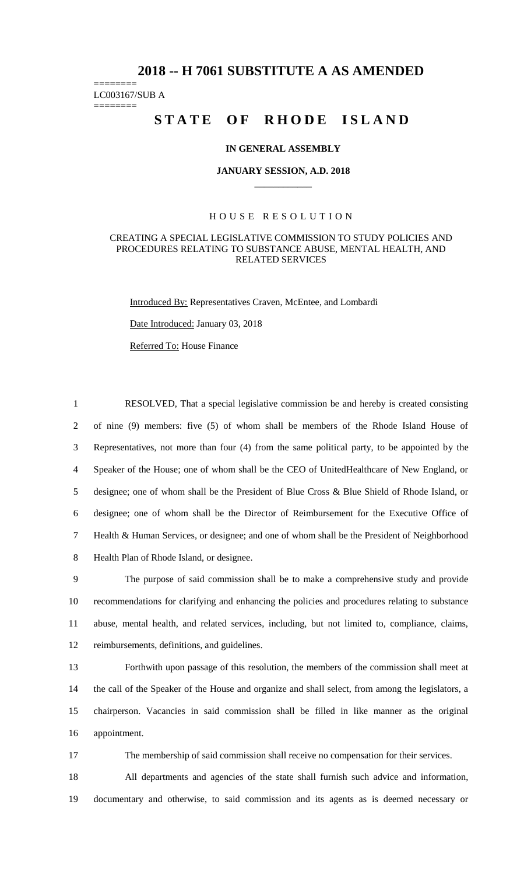## **2018 -- H 7061 SUBSTITUTE A AS AMENDED**

======== LC003167/SUB A

========

# STATE OF RHODE ISLAND

#### **IN GENERAL ASSEMBLY**

#### **JANUARY SESSION, A.D. 2018 \_\_\_\_\_\_\_\_\_\_\_\_**

### H O U S E R E S O L U T I O N

#### CREATING A SPECIAL LEGISLATIVE COMMISSION TO STUDY POLICIES AND PROCEDURES RELATING TO SUBSTANCE ABUSE, MENTAL HEALTH, AND RELATED SERVICES

Introduced By: Representatives Craven, McEntee, and Lombardi

Date Introduced: January 03, 2018

Referred To: House Finance

 RESOLVED, That a special legislative commission be and hereby is created consisting of nine (9) members: five (5) of whom shall be members of the Rhode Island House of Representatives, not more than four (4) from the same political party, to be appointed by the Speaker of the House; one of whom shall be the CEO of UnitedHealthcare of New England, or designee; one of whom shall be the President of Blue Cross & Blue Shield of Rhode Island, or designee; one of whom shall be the Director of Reimbursement for the Executive Office of Health & Human Services, or designee; and one of whom shall be the President of Neighborhood Health Plan of Rhode Island, or designee.

 The purpose of said commission shall be to make a comprehensive study and provide recommendations for clarifying and enhancing the policies and procedures relating to substance abuse, mental health, and related services, including, but not limited to, compliance, claims, reimbursements, definitions, and guidelines.

 Forthwith upon passage of this resolution, the members of the commission shall meet at the call of the Speaker of the House and organize and shall select, from among the legislators, a chairperson. Vacancies in said commission shall be filled in like manner as the original appointment.

17 The membership of said commission shall receive no compensation for their services.

18 All departments and agencies of the state shall furnish such advice and information, 19 documentary and otherwise, to said commission and its agents as is deemed necessary or